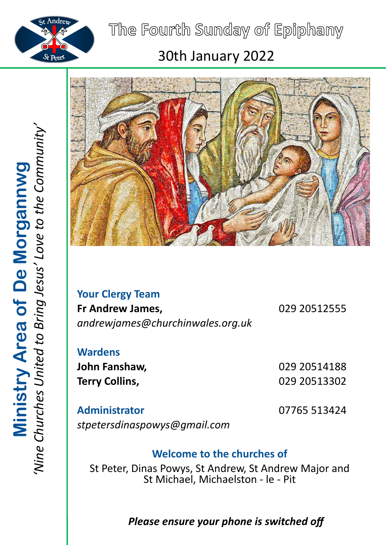

The Fourth Sunday of Epiphany

# 30th January 2022



**Your Clergy Team Fr Andrew James,** 029 20512555 *andrewjames@churchinwales.org.uk*

**Wardens**

**John Fanshaw,** 029 20514188 **Terry Collins,** 029 20513302

**Administrator** 07765 513424 *stpetersdinaspowys@gmail.com*

# **Welcome to the churches of**

St Peter, Dinas Powys, St Andrew, St Andrew Major and St Michael, Michaelston - le - Pit

# *Please ensure your phone is switched off*

*'Nine Churches United to Bring Jesus' Love to the Community'* Ministry Area of De Morgannwg<br>"Nine Churches United to Bring Jesus' Love to the Community **Ministry Area of De Morgannwg**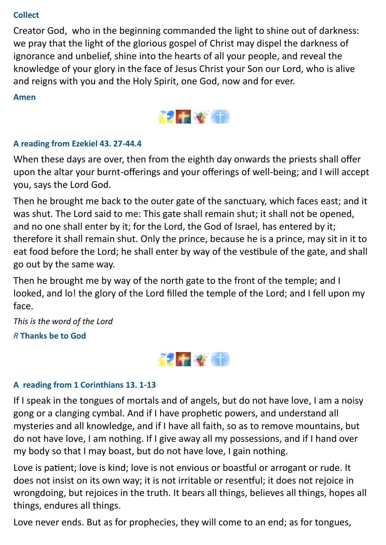### **Collect**

Creator God, who in the beginning commanded the light to shine out of darkness: we pray that the light of the glorious gospel of Christ may dispel the darkness of ignorance and unbelief, shine into the hearts of all your people, and reveal the knowledge of your glory in the face of Jesus Christ your Son our Lord, who is alive and reigns with you and the Holy Spirit, one God, now and for ever.

#### **Amen**



### **A reading from Ezekiel 43. 27-44.4**

When these days are over, then from the eighth day onwards the priests shall offer upon the altar your burnt-offerings and your offerings of well-being; and I will accept you, says the Lord God.

Then he brought me back to the outer gate of the sanctuary, which faces east; and it was shut. The Lord said to me: This gate shall remain shut; it shall not be opened, and no one shall enter by it; for the Lord, the God of Israel, has entered by it; therefore it shall remain shut. Only the prince, because he is a prince, may sit in it to eat food before the Lord; he shall enter by way of the vestibule of the gate, and shall go out by the same way.

Then he brought me by way of the north gate to the front of the temple; and I looked, and lo! the glory of the Lord filled the temple of the Lord; and I fell upon my face.

*This is the word of the Lord R* **Thanks be to God**



### **A reading from 1 Corinthians 13. 1-13**

If I speak in the tongues of mortals and of angels, but do not have love, I am a noisy gong or a clanging cymbal. And if I have prophetic powers, and understand all mysteries and all knowledge, and if I have all faith, so as to remove mountains, but do not have love, I am nothing. If I give away all my possessions, and if I hand over my body so that I may boast, but do not have love, I gain nothing.

Love is patient; love is kind; love is not envious or boastful or arrogant or rude. It does not insist on its own way; it is not irritable or resentful; it does not rejoice in wrongdoing, but rejoices in the truth. It bears all things, believes all things, hopes all things, endures all things.

Love never ends. But as for prophecies, they will come to an end; as for tongues,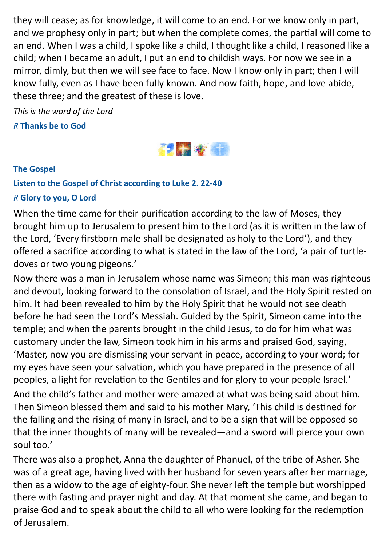they will cease; as for knowledge, it will come to an end. For we know only in part, and we prophesy only in part; but when the complete comes, the partial will come to an end. When I was a child, I spoke like a child, I thought like a child, I reasoned like a child; when I became an adult, I put an end to childish ways. For now we see in a mirror, dimly, but then we will see face to face. Now I know only in part; then I will know fully, even as I have been fully known. And now faith, hope, and love abide, these three; and the greatest of these is love.

*This is the word of the Lord R* **Thanks be to God**



### **The Gospel**

# **Listen to the Gospel of Christ according to Luke 2. 22-40** *R* **Glory to you, O Lord**

When the time came for their purification according to the law of Moses, they brought him up to Jerusalem to present him to the Lord (as it is written in the law of the Lord, 'Every firstborn male shall be designated as holy to the Lord'), and they offered a sacrifice according to what is stated in the law of the Lord, 'a pair of turtledoves or two young pigeons.'

Now there was a man in Jerusalem whose name was Simeon; this man was righteous and devout, looking forward to the consolation of Israel, and the Holy Spirit rested on him. It had been revealed to him by the Holy Spirit that he would not see death before he had seen the Lord's Messiah. Guided by the Spirit, Simeon came into the temple; and when the parents brought in the child Jesus, to do for him what was customary under the law, Simeon took him in his arms and praised God, saying, 'Master, now you are dismissing your servant in peace, according to your word; for my eyes have seen your salvation, which you have prepared in the presence of all peoples, a light for revelation to the Gentiles and for glory to your people Israel.' And the child's father and mother were amazed at what was being said about him. Then Simeon blessed them and said to his mother Mary, 'This child is destined for the falling and the rising of many in Israel, and to be a sign that will be opposed so that the inner thoughts of many will be revealed—and a sword will pierce your own soul too.'

There was also a prophet, Anna the daughter of Phanuel, of the tribe of Asher. She was of a great age, having lived with her husband for seven years after her marriage, then as a widow to the age of eighty-four. She never left the temple but worshipped there with fasting and prayer night and day. At that moment she came, and began to praise God and to speak about the child to all who were looking for the redemption of Jerusalem.